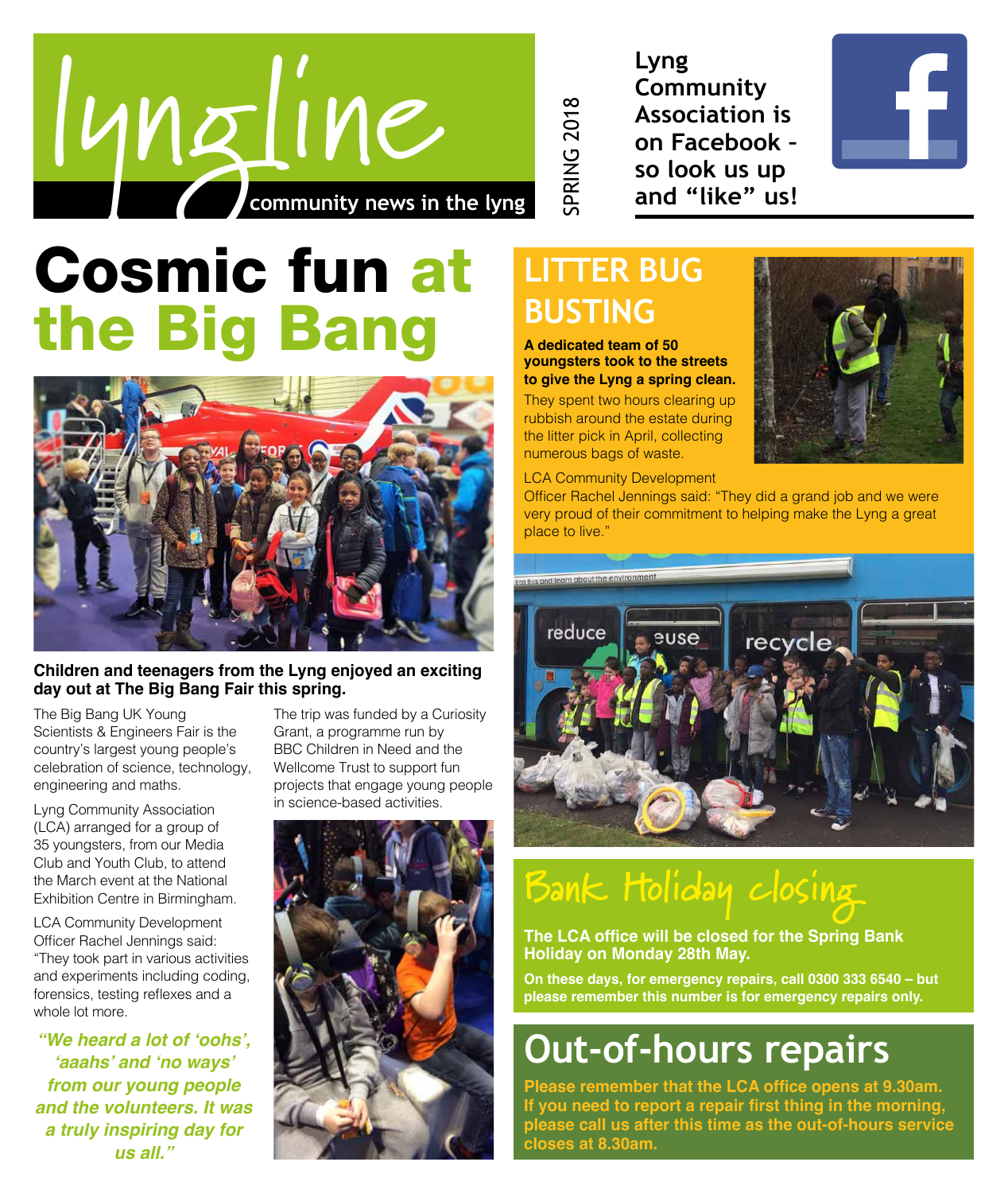

**Lyng Community Association is on Facebook – so look us up and "like" us!**



# Cosmic fun at the Big Bang



#### **Children and teenagers from the Lyng enjoyed an exciting day out at The Big Bang Fair this spring.**

The Big Bang UK Young Scientists & Engineers Fair is the country's largest young people's celebration of science, technology, engineering and maths.

Lyng Community Association (LCA) arranged for a group of 35 youngsters, from our Media Club and Youth Club, to attend the March event at the National Exhibition Centre in Birmingham.

LCA Community Development Officer Rachel Jennings said: "They took part in various activities and experiments including coding, forensics, testing reflexes and a whole lot more.

**"We heard a lot of 'oohs', 'aaahs' and 'no ways' from our young people and the volunteers. It was a truly inspiring day for us all."**

The trip was funded by a Curiosity Grant, a programme run by BBC Children in Need and the Wellcome Trust to support fun projects that engage young people in science-based activities.



## **LITTER BUG BUSTING**

SPRING 2018

**SPRING 2018** 

**A dedicated team of 50 youngsters took to the streets to give the Lyng a spring clean.**

They spent two hours clearing up rubbish around the estate during the litter pick in April, collecting numerous bags of waste.

LCA Community Development

Officer Rachel Jennings said: "They did a grand job and we were very proud of their commitment to helping make the Lyng a great place to live."



# **Bank Holiday closing**

**The LCA office will be closed for the Spring Bank Holiday on Monday 28th May.**

**On these days, for emergency repairs, call 0300 333 6540 – but please remember this number is for emergency repairs only.**

# **Out-of-hours repairs**

**Please remember that the LCA office opens at 9.30am. If you need to report a repair first thing in the morning, please call us after this time as the out-of-hours service closes at 8.30am.**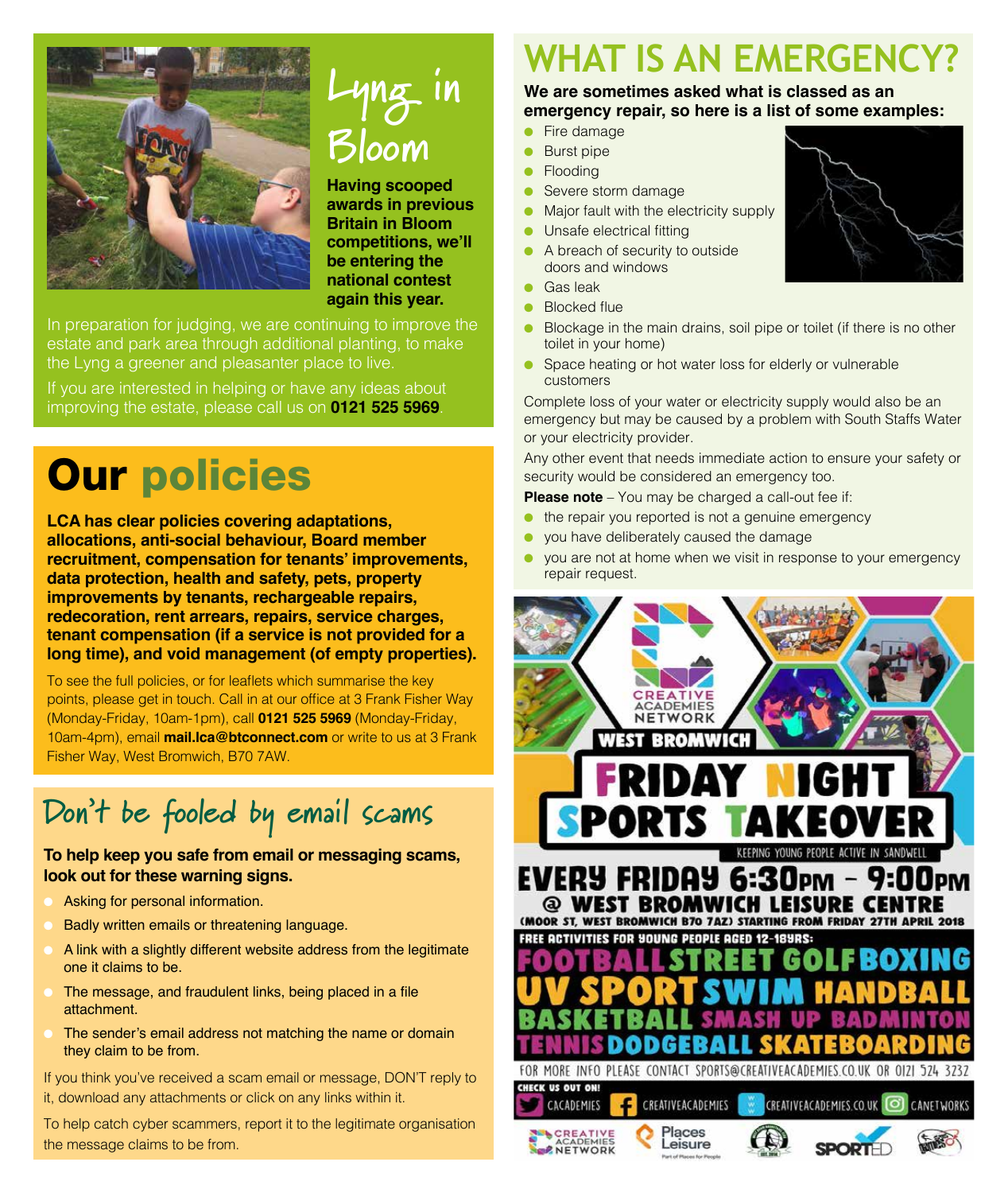

# **Lyng in Bloom**

**Having scooped awards in previous Britain in Bloom competitions, we'll be entering the national contest again this year.**

In preparation for judging, we are continuing to improve the estate and park area through additional planting, to make the Lyng a greener and pleasanter place to live.

If you are interested in helping or have any ideas about improving the estate, please call us on **0121 525 5969**.

# Our policies

**LCA has clear policies covering adaptations, allocations, anti-social behaviour, Board member recruitment, compensation for tenants' improvements, data protection, health and safety, pets, property improvements by tenants, rechargeable repairs, redecoration, rent arrears, repairs, service charges, tenant compensation (if a service is not provided for a long time), and void management (of empty properties).**

To see the full policies, or for leaflets which summarise the key points, please get in touch. Call in at our office at 3 Frank Fisher Way (Monday-Friday, 10am-1pm), call **0121 525 5969** (Monday-Friday, 10am-4pm), email **mail.lca@btconnect.com** or write to us at 3 Frank Fisher Way, West Bromwich, B70 7AW.

## **Don't be fooled by email scams**

#### **To help keep you safe from email or messaging scams, look out for these warning signs.**

- Asking for personal information.
- Badly written emails or threatening language.
- A link with a slightly different website address from the legitimate one it claims to be.
- The message, and fraudulent links, being placed in a file attachment.
- The sender's email address not matching the name or domain they claim to be from.

If you think you've received a scam email or message, DON'T reply to it, download any attachments or click on any links within it.

To help catch cyber scammers, report it to the legitimate organisation the message claims to be from.

## **WHAT IS AN EMERGENCY?**

#### **We are sometimes asked what is classed as an emergency repair, so here is a list of some examples:**

- Fire damage
- Burst pipe
- Flooding
- Severe storm damage
- Major fault with the electricity supply
- Unsafe electrical fitting
- A breach of security to outside doors and windows
- Gas leak
- **Blocked flue**
- Blockage in the main drains, soil pipe or toilet (if there is no other toilet in your home)
- Space heating or hot water loss for elderly or vulnerable customers

Complete loss of your water or electricity supply would also be an emergency but may be caused by a problem with South Staffs Water or your electricity provider.

Any other event that needs immediate action to ensure your safety or security would be considered an emergency too.

**Please note** – You may be charged a call-out fee if:

- the repair you reported is not a genuine emergency
- you have deliberately caused the damage
- you are not at home when we visit in response to your emergency repair request.



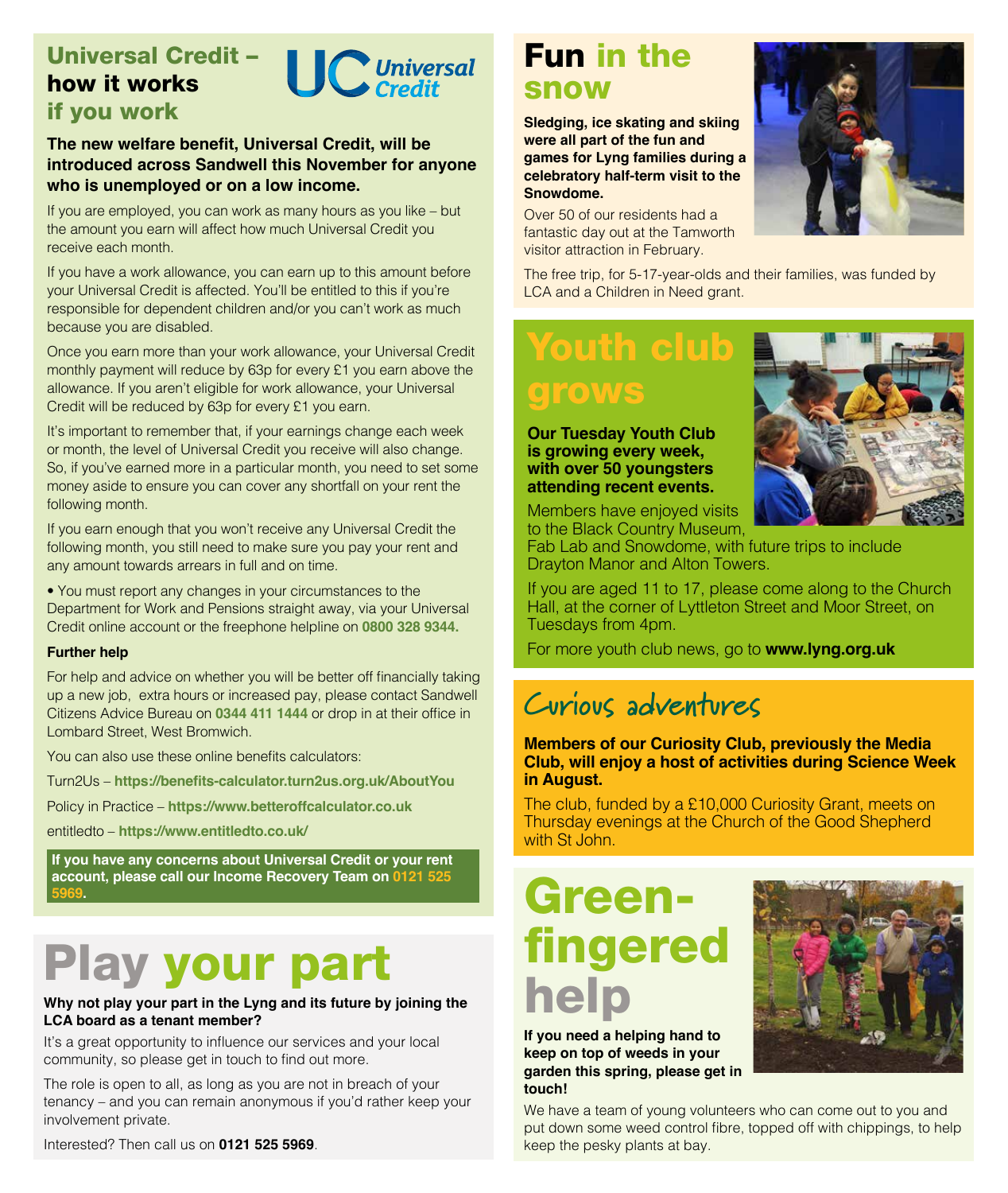## Universal Credit – how it works



if you work

#### **The new welfare benefit, Universal Credit, will be introduced across Sandwell this November for anyone who is unemployed or on a low income.**

If you are employed, you can work as many hours as you like – but the amount you earn will affect how much Universal Credit you receive each month.

If you have a work allowance, you can earn up to this amount before your Universal Credit is affected. You'll be entitled to this if you're responsible for dependent children and/or you can't work as much because you are disabled.

Once you earn more than your work allowance, your Universal Credit monthly payment will reduce by 63p for every £1 you earn above the allowance. If you aren't eligible for work allowance, your Universal Credit will be reduced by 63p for every £1 you earn.

It's important to remember that, if your earnings change each week or month, the level of Universal Credit you receive will also change. So, if you've earned more in a particular month, you need to set some money aside to ensure you can cover any shortfall on your rent the following month.

If you earn enough that you won't receive any Universal Credit the following month, you still need to make sure you pay your rent and any amount towards arrears in full and on time.

• You must report any changes in your circumstances to the Department for Work and Pensions straight away, via your Universal Credit online account or the freephone helpline on **0800 328 9344.**

#### **Further help**

For help and advice on whether you will be better off financially taking up a new job, extra hours or increased pay, please contact Sandwell Citizens Advice Bureau on **0344 411 1444** or drop in at their office in Lombard Street, West Bromwich.

You can also use these online benefits calculators:

Turn2Us – **https://benefits-calculator.turn2us.org.uk/AboutYou**

Policy in Practice – **https://www.betteroffcalculator.co.uk**

entitledto – **https://www.entitledto.co.uk/**

**If you have any concerns about Universal Credit or your rent account, please call our Income Recovery Team on 0121 525 5969.**

# Play your part

#### **Why not play your part in the Lyng and its future by joining the LCA board as a tenant member?**

It's a great opportunity to influence our services and your local community, so please get in touch to find out more.

The role is open to all, as long as you are not in breach of your tenancy – and you can remain anonymous if you'd rather keep your involvement private.

Interested? Then call us on **0121 525 5969**.

## Fun in the snow

**Sledging, ice skating and skiing were all part of the fun and games for Lyng families during a celebratory half-term visit to the Snowdome.**

Over 50 of our residents had a fantastic day out at the Tamworth visitor attraction in February.

The free trip, for 5-17-year-olds and their families, was funded by LCA and a Children in Need grant.

## Youth club rows

**Our Tuesday Youth Club is growing every week, with over 50 youngsters attending recent events.**



Fab Lab and Snowdome, with future trips to include Drayton Manor and Alton Towers.

If you are aged 11 to 17, please come along to the Church Hall, at the corner of Lyttleton Street and Moor Street, on Tuesdays from 4pm.

For more youth club news, go to **www.lyng.org.uk**

## **Curious adventures**

**Members of our Curiosity Club, previously the Media Club, will enjoy a host of activities during Science Week in August.**

The club, funded by a £10,000 Curiosity Grant, meets on Thursday evenings at the Church of the Good Shepherd with St John.

# Greenfingered help

**If you need a helping hand to keep on top of weeds in your garden this spring, please get in touch!**

We have a team of young volunteers who can come out to you and put down some weed control fibre, topped off with chippings, to help keep the pesky plants at bay.